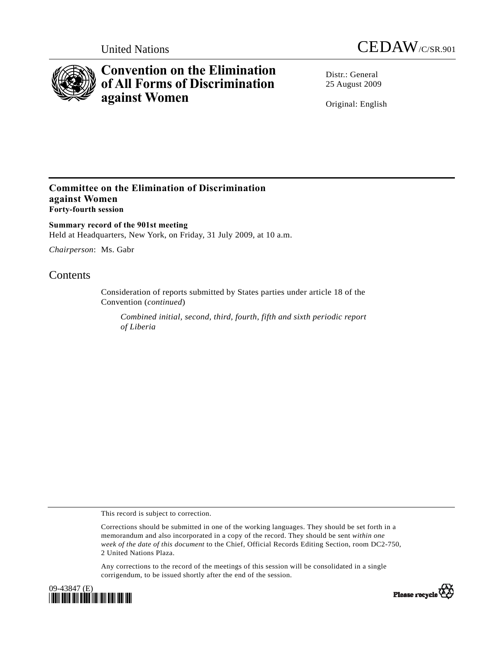



# **Convention on the Elimination of All Forms of Discrimination against Women**

Distr · General 25 August 2009

Original: English

### **Committee on the Elimination of Discrimination against Women Forty-fourth session**

**Summary record of the 901st meeting**  Held at Headquarters, New York, on Friday, 31 July 2009, at 10 a.m.

*Chairperson*: Ms. Gabr

## **Contents**

Consideration of reports submitted by States parties under article 18 of the Convention (*continued*)

*Combined initial, second, third, fourth, fifth and sixth periodic report of Liberia* 

This record is subject to correction.

Corrections should be submitted in one of the working languages. They should be set forth in a memorandum and also incorporated in a copy of the record. They should be sent *within one week of the date of this document* to the Chief, Official Records Editing Section, room DC2-750, 2 United Nations Plaza.

Any corrections to the record of the meetings of this session will be consolidated in a single corrigendum, to be issued shortly after the end of the session.



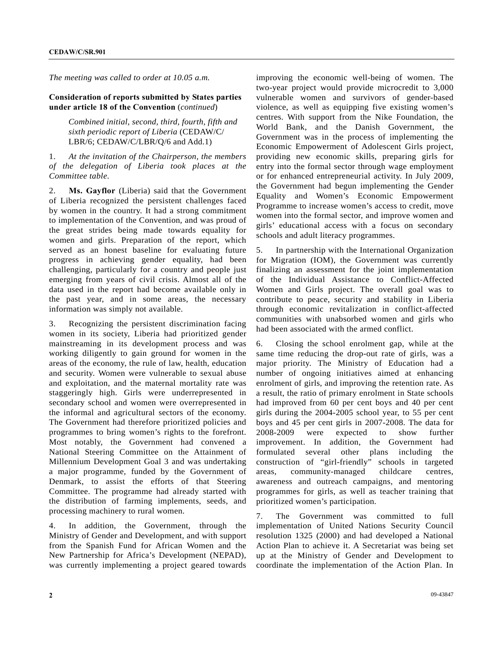*The meeting was called to order at 10.05 a.m.* 

#### **Consideration of reports submitted by States parties under article 18 of the Convention** (*continued*)

 *Combined initial, second, third, fourth, fifth and sixth periodic report of Liberia* (CEDAW/C/ LBR/6; CEDAW/C/LBR/Q/6 and Add.1)

#### 1. *At the invitation of the Chairperson, the members of the delegation of Liberia took places at the Committee table*.

2. **Ms. Gayflor** (Liberia) said that the Government of Liberia recognized the persistent challenges faced by women in the country. It had a strong commitment to implementation of the Convention, and was proud of the great strides being made towards equality for women and girls. Preparation of the report, which served as an honest baseline for evaluating future progress in achieving gender equality, had been challenging, particularly for a country and people just emerging from years of civil crisis. Almost all of the data used in the report had become available only in the past year, and in some areas, the necessary information was simply not available.

3. Recognizing the persistent discrimination facing women in its society, Liberia had prioritized gender mainstreaming in its development process and was working diligently to gain ground for women in the areas of the economy, the rule of law, health, education and security. Women were vulnerable to sexual abuse and exploitation, and the maternal mortality rate was staggeringly high. Girls were underrepresented in secondary school and women were overrepresented in the informal and agricultural sectors of the economy. The Government had therefore prioritized policies and programmes to bring women's rights to the forefront. Most notably, the Government had convened a National Steering Committee on the Attainment of Millennium Development Goal 3 and was undertaking a major programme, funded by the Government of Denmark, to assist the efforts of that Steering Committee. The programme had already started with the distribution of farming implements, seeds, and processing machinery to rural women.

4. In addition, the Government, through the Ministry of Gender and Development, and with support from the Spanish Fund for African Women and the New Partnership for Africa's Development (NEPAD), was currently implementing a project geared towards improving the economic well-being of women. The two-year project would provide microcredit to 3,000 vulnerable women and survivors of gender-based violence, as well as equipping five existing women's centres. With support from the Nike Foundation, the World Bank, and the Danish Government, the Government was in the process of implementing the Economic Empowerment of Adolescent Girls project, providing new economic skills, preparing girls for entry into the formal sector through wage employment or for enhanced entrepreneurial activity. In July 2009, the Government had begun implementing the Gender Equality and Women's Economic Empowerment Programme to increase women's access to credit, move women into the formal sector, and improve women and girls' educational access with a focus on secondary schools and adult literacy programmes.

5. In partnership with the International Organization for Migration (IOM), the Government was currently finalizing an assessment for the joint implementation of the Individual Assistance to Conflict-Affected Women and Girls project. The overall goal was to contribute to peace, security and stability in Liberia through economic revitalization in conflict-affected communities with unabsorbed women and girls who had been associated with the armed conflict.

6. Closing the school enrolment gap, while at the same time reducing the drop-out rate of girls, was a major priority. The Ministry of Education had a number of ongoing initiatives aimed at enhancing enrolment of girls, and improving the retention rate. As a result, the ratio of primary enrolment in State schools had improved from 60 per cent boys and 40 per cent girls during the 2004-2005 school year, to 55 per cent boys and 45 per cent girls in 2007-2008. The data for 2008-2009 were expected to show further improvement. In addition, the Government had formulated several other plans including the construction of "girl-friendly" schools in targeted areas, community-managed childcare centres, awareness and outreach campaigns, and mentoring programmes for girls, as well as teacher training that prioritized women's participation.

7. The Government was committed to full implementation of United Nations Security Council resolution 1325 (2000) and had developed a National Action Plan to achieve it. A Secretariat was being set up at the Ministry of Gender and Development to coordinate the implementation of the Action Plan. In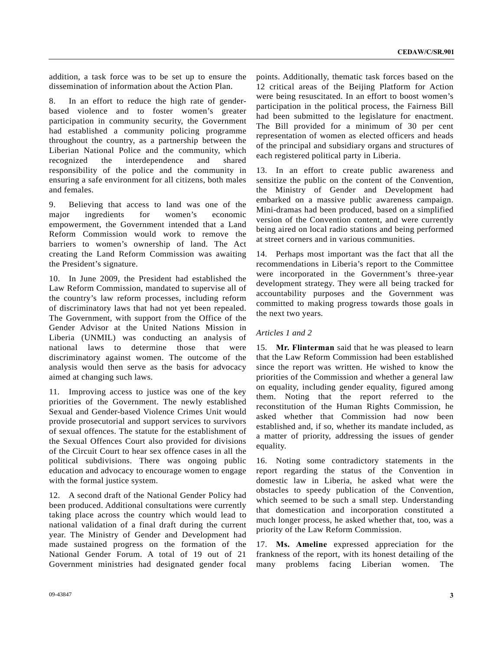addition, a task force was to be set up to ensure the dissemination of information about the Action Plan.

8. In an effort to reduce the high rate of genderbased violence and to foster women's greater participation in community security, the Government had established a community policing programme throughout the country, as a partnership between the Liberian National Police and the community, which recognized the interdependence and shared responsibility of the police and the community in ensuring a safe environment for all citizens, both males and females.

9. Believing that access to land was one of the major ingredients for women's economic empowerment, the Government intended that a Land Reform Commission would work to remove the barriers to women's ownership of land. The Act creating the Land Reform Commission was awaiting the President's signature.

10. In June 2009, the President had established the Law Reform Commission, mandated to supervise all of the country's law reform processes, including reform of discriminatory laws that had not yet been repealed. The Government, with support from the Office of the Gender Advisor at the United Nations Mission in Liberia (UNMIL) was conducting an analysis of national laws to determine those that were discriminatory against women. The outcome of the analysis would then serve as the basis for advocacy aimed at changing such laws.

11. Improving access to justice was one of the key priorities of the Government. The newly established Sexual and Gender-based Violence Crimes Unit would provide prosecutorial and support services to survivors of sexual offences. The statute for the establishment of the Sexual Offences Court also provided for divisions of the Circuit Court to hear sex offence cases in all the political subdivisions. There was ongoing public education and advocacy to encourage women to engage with the formal justice system.

12. A second draft of the National Gender Policy had been produced. Additional consultations were currently taking place across the country which would lead to national validation of a final draft during the current year. The Ministry of Gender and Development had made sustained progress on the formation of the National Gender Forum. A total of 19 out of 21 Government ministries had designated gender focal

points. Additionally, thematic task forces based on the 12 critical areas of the Beijing Platform for Action were being resuscitated. In an effort to boost women's participation in the political process, the Fairness Bill had been submitted to the legislature for enactment. The Bill provided for a minimum of 30 per cent representation of women as elected officers and heads of the principal and subsidiary organs and structures of each registered political party in Liberia.

13. In an effort to create public awareness and sensitize the public on the content of the Convention, the Ministry of Gender and Development had embarked on a massive public awareness campaign. Mini-dramas had been produced, based on a simplified version of the Convention content, and were currently being aired on local radio stations and being performed at street corners and in various communities.

14. Perhaps most important was the fact that all the recommendations in Liberia's report to the Committee were incorporated in the Government's three-year development strategy. They were all being tracked for accountability purposes and the Government was committed to making progress towards those goals in the next two years.

#### *Articles 1 and 2*

15. **Mr. Flinterman** said that he was pleased to learn that the Law Reform Commission had been established since the report was written. He wished to know the priorities of the Commission and whether a general law on equality, including gender equality, figured among them. Noting that the report referred to the reconstitution of the Human Rights Commission, he asked whether that Commission had now been established and, if so, whether its mandate included, as a matter of priority, addressing the issues of gender equality.

16. Noting some contradictory statements in the report regarding the status of the Convention in domestic law in Liberia, he asked what were the obstacles to speedy publication of the Convention, which seemed to be such a small step. Understanding that domestication and incorporation constituted a much longer process, he asked whether that, too, was a priority of the Law Reform Commission.

17. **Ms. Ameline** expressed appreciation for the frankness of the report, with its honest detailing of the many problems facing Liberian women. The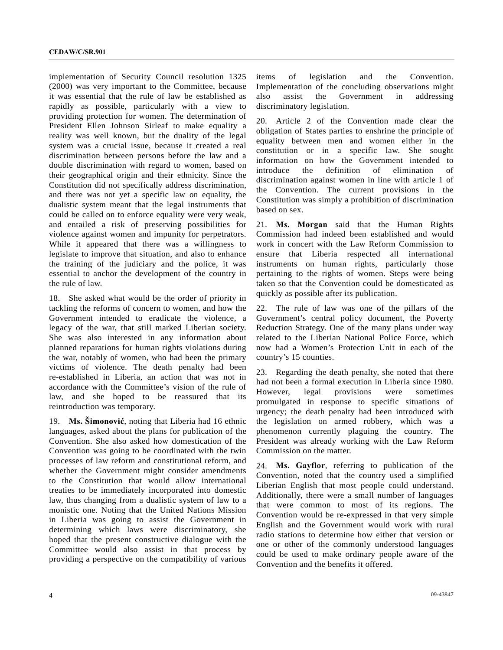implementation of Security Council resolution 1325 (2000) was very important to the Committee, because it was essential that the rule of law be established as rapidly as possible, particularly with a view to providing protection for women. The determination of President Ellen Johnson Sirleaf to make equality a reality was well known, but the duality of the legal system was a crucial issue, because it created a real discrimination between persons before the law and a double discrimination with regard to women, based on their geographical origin and their ethnicity. Since the Constitution did not specifically address discrimination, and there was not yet a specific law on equality, the dualistic system meant that the legal instruments that could be called on to enforce equality were very weak, and entailed a risk of preserving possibilities for violence against women and impunity for perpetrators. While it appeared that there was a willingness to legislate to improve that situation, and also to enhance the training of the judiciary and the police, it was essential to anchor the development of the country in the rule of law.

18. She asked what would be the order of priority in tackling the reforms of concern to women, and how the Government intended to eradicate the violence, a legacy of the war, that still marked Liberian society. She was also interested in any information about planned reparations for human rights violations during the war, notably of women, who had been the primary victims of violence. The death penalty had been re-established in Liberia, an action that was not in accordance with the Committee's vision of the rule of law, and she hoped to be reassured that its reintroduction was temporary.

19. **Ms. Šimonović**, noting that Liberia had 16 ethnic languages, asked about the plans for publication of the Convention. She also asked how domestication of the Convention was going to be coordinated with the twin processes of law reform and constitutional reform, and whether the Government might consider amendments to the Constitution that would allow international treaties to be immediately incorporated into domestic law, thus changing from a dualistic system of law to a monistic one. Noting that the United Nations Mission in Liberia was going to assist the Government in determining which laws were discriminatory, she hoped that the present constructive dialogue with the Committee would also assist in that process by providing a perspective on the compatibility of various

items of legislation and the Convention. Implementation of the concluding observations might also assist the Government in addressing discriminatory legislation.

20. Article 2 of the Convention made clear the obligation of States parties to enshrine the principle of equality between men and women either in the constitution or in a specific law. She sought information on how the Government intended to introduce the definition of elimination of discrimination against women in line with article 1 of the Convention. The current provisions in the Constitution was simply a prohibition of discrimination based on sex.

21. **Ms. Morgan** said that the Human Rights Commission had indeed been established and would work in concert with the Law Reform Commission to ensure that Liberia respected all international instruments on human rights, particularly those pertaining to the rights of women. Steps were being taken so that the Convention could be domesticated as quickly as possible after its publication.

22. The rule of law was one of the pillars of the Government's central policy document, the Poverty Reduction Strategy. One of the many plans under way related to the Liberian National Police Force, which now had a Women's Protection Unit in each of the country's 15 counties.

23. Regarding the death penalty, she noted that there had not been a formal execution in Liberia since 1980. However, legal provisions were sometimes promulgated in response to specific situations of urgency; the death penalty had been introduced with the legislation on armed robbery, which was a phenomenon currently plaguing the country. The President was already working with the Law Reform Commission on the matter.

24. **Ms. Gayflor**, referring to publication of the Convention, noted that the country used a simplified Liberian English that most people could understand. Additionally, there were a small number of languages that were common to most of its regions. The Convention would be re-expressed in that very simple English and the Government would work with rural radio stations to determine how either that version or one or other of the commonly understood languages could be used to make ordinary people aware of the Convention and the benefits it offered.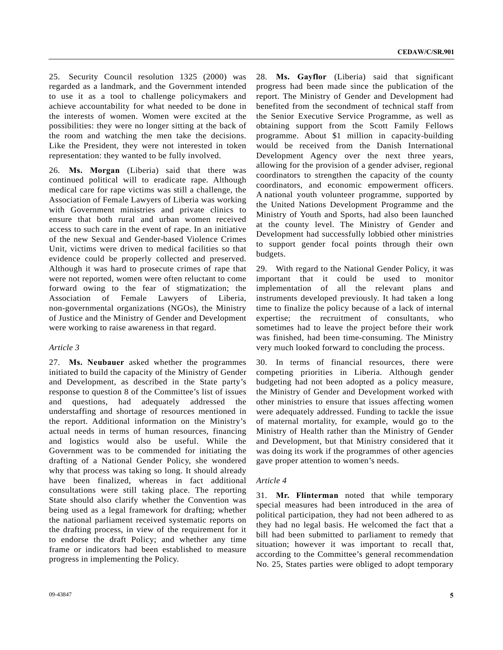25. Security Council resolution 1325 (2000) was regarded as a landmark, and the Government intended to use it as a tool to challenge policymakers and achieve accountability for what needed to be done in the interests of women. Women were excited at the possibilities: they were no longer sitting at the back of the room and watching the men take the decisions. Like the President, they were not interested in token representation: they wanted to be fully involved.

26. **Ms. Morgan** (Liberia) said that there was continued political will to eradicate rape. Although medical care for rape victims was still a challenge, the Association of Female Lawyers of Liberia was working with Government ministries and private clinics to ensure that both rural and urban women received access to such care in the event of rape. In an initiative of the new Sexual and Gender-based Violence Crimes Unit, victims were driven to medical facilities so that evidence could be properly collected and preserved. Although it was hard to prosecute crimes of rape that were not reported, women were often reluctant to come forward owing to the fear of stigmatization; the Association of Female Lawyers of Liberia, non-governmental organizations (NGOs), the Ministry of Justice and the Ministry of Gender and Development were working to raise awareness in that regard.

#### *Article 3*

27. **Ms. Neubauer** asked whether the programmes initiated to build the capacity of the Ministry of Gender and Development, as described in the State party's response to question 8 of the Committee's list of issues and questions, had adequately addressed the understaffing and shortage of resources mentioned in the report. Additional information on the Ministry's actual needs in terms of human resources, financing and logistics would also be useful. While the Government was to be commended for initiating the drafting of a National Gender Policy, she wondered why that process was taking so long. It should already have been finalized, whereas in fact additional consultations were still taking place. The reporting State should also clarify whether the Convention was being used as a legal framework for drafting; whether the national parliament received systematic reports on the drafting process, in view of the requirement for it to endorse the draft Policy; and whether any time frame or indicators had been established to measure progress in implementing the Policy.

28. **Ms. Gayflor** (Liberia) said that significant progress had been made since the publication of the report. The Ministry of Gender and Development had benefited from the secondment of technical staff from the Senior Executive Service Programme, as well as obtaining support from the Scott Family Fellows programme. About \$1 million in capacity-building would be received from the Danish International Development Agency over the next three years, allowing for the provision of a gender adviser, regional coordinators to strengthen the capacity of the county coordinators, and economic empowerment officers. A national youth volunteer programme, supported by the United Nations Development Programme and the Ministry of Youth and Sports, had also been launched at the county level. The Ministry of Gender and Development had successfully lobbied other ministries to support gender focal points through their own budgets.

29. With regard to the National Gender Policy, it was important that it could be used to monitor implementation of all the relevant plans and instruments developed previously. It had taken a long time to finalize the policy because of a lack of internal expertise; the recruitment of consultants, who sometimes had to leave the project before their work was finished, had been time-consuming. The Ministry very much looked forward to concluding the process.

30. In terms of financial resources, there were competing priorities in Liberia. Although gender budgeting had not been adopted as a policy measure, the Ministry of Gender and Development worked with other ministries to ensure that issues affecting women were adequately addressed. Funding to tackle the issue of maternal mortality, for example, would go to the Ministry of Health rather than the Ministry of Gender and Development, but that Ministry considered that it was doing its work if the programmes of other agencies gave proper attention to women's needs.

#### *Article 4*

31. **Mr. Flinterman** noted that while temporary special measures had been introduced in the area of political participation, they had not been adhered to as they had no legal basis. He welcomed the fact that a bill had been submitted to parliament to remedy that situation; however it was important to recall that, according to the Committee's general recommendation No. 25, States parties were obliged to adopt temporary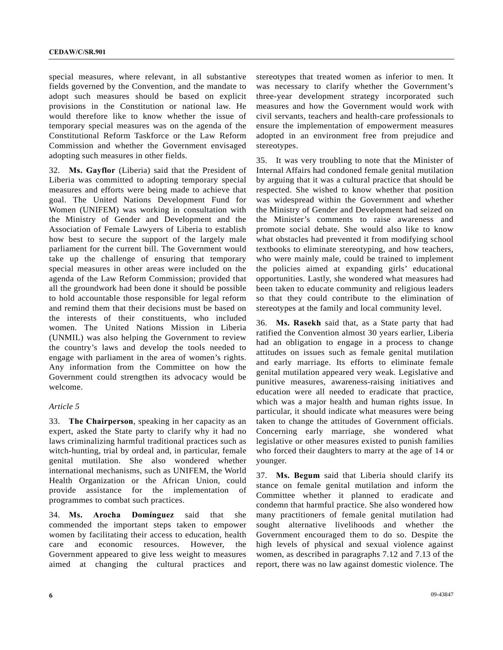special measures, where relevant, in all substantive fields governed by the Convention, and the mandate to adopt such measures should be based on explicit provisions in the Constitution or national law. He would therefore like to know whether the issue of temporary special measures was on the agenda of the Constitutional Reform Taskforce or the Law Reform Commission and whether the Government envisaged adopting such measures in other fields.

32. **Ms. Gayflor** (Liberia) said that the President of Liberia was committed to adopting temporary special measures and efforts were being made to achieve that goal. The United Nations Development Fund for Women (UNIFEM) was working in consultation with the Ministry of Gender and Development and the Association of Female Lawyers of Liberia to establish how best to secure the support of the largely male parliament for the current bill. The Government would take up the challenge of ensuring that temporary special measures in other areas were included on the agenda of the Law Reform Commission; provided that all the groundwork had been done it should be possible to hold accountable those responsible for legal reform and remind them that their decisions must be based on the interests of their constituents, who included women. The United Nations Mission in Liberia (UNMIL) was also helping the Government to review the country's laws and develop the tools needed to engage with parliament in the area of women's rights. Any information from the Committee on how the Government could strengthen its advocacy would be welcome.

#### *Article 5*

33. **The Chairperson**, speaking in her capacity as an expert, asked the State party to clarify why it had no laws criminalizing harmful traditional practices such as witch-hunting, trial by ordeal and, in particular, female genital mutilation. She also wondered whether international mechanisms, such as UNIFEM, the World Health Organization or the African Union, could provide assistance for the implementation of programmes to combat such practices.

34. **Ms. Arocha Domínguez** said that she commended the important steps taken to empower women by facilitating their access to education, health care and economic resources. However, the Government appeared to give less weight to measures aimed at changing the cultural practices and

stereotypes that treated women as inferior to men. It was necessary to clarify whether the Government's three-year development strategy incorporated such measures and how the Government would work with civil servants, teachers and health-care professionals to ensure the implementation of empowerment measures adopted in an environment free from prejudice and stereotypes.

35. It was very troubling to note that the Minister of Internal Affairs had condoned female genital mutilation by arguing that it was a cultural practice that should be respected. She wished to know whether that position was widespread within the Government and whether the Ministry of Gender and Development had seized on the Minister's comments to raise awareness and promote social debate. She would also like to know what obstacles had prevented it from modifying school textbooks to eliminate stereotyping, and how teachers, who were mainly male, could be trained to implement the policies aimed at expanding girls' educational opportunities. Lastly, she wondered what measures had been taken to educate community and religious leaders so that they could contribute to the elimination of stereotypes at the family and local community level.

36. **Ms. Rasekh** said that, as a State party that had ratified the Convention almost 30 years earlier, Liberia had an obligation to engage in a process to change attitudes on issues such as female genital mutilation and early marriage. Its efforts to eliminate female genital mutilation appeared very weak. Legislative and punitive measures, awareness-raising initiatives and education were all needed to eradicate that practice, which was a major health and human rights issue. In particular, it should indicate what measures were being taken to change the attitudes of Government officials. Concerning early marriage, she wondered what legislative or other measures existed to punish families who forced their daughters to marry at the age of 14 or younger.

37. **Ms. Begum** said that Liberia should clarify its stance on female genital mutilation and inform the Committee whether it planned to eradicate and condemn that harmful practice. She also wondered how many practitioners of female genital mutilation had sought alternative livelihoods and whether the Government encouraged them to do so. Despite the high levels of physical and sexual violence against women, as described in paragraphs 7.12 and 7.13 of the report, there was no law against domestic violence. The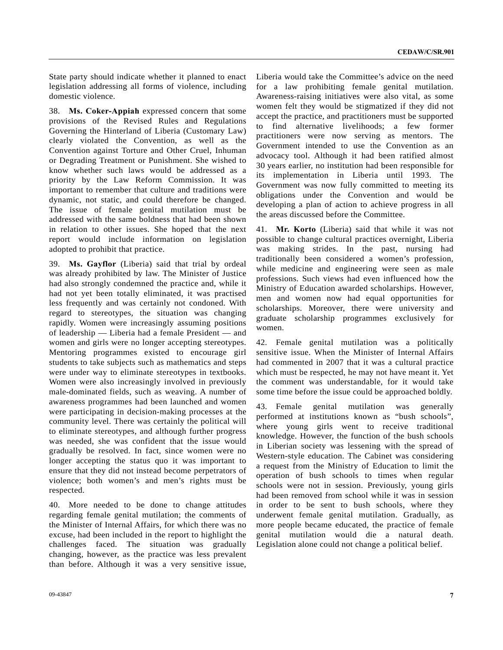State party should indicate whether it planned to enact legislation addressing all forms of violence, including domestic violence.

38. **Ms. Coker-Appiah** expressed concern that some provisions of the Revised Rules and Regulations Governing the Hinterland of Liberia (Customary Law) clearly violated the Convention, as well as the Convention against Torture and Other Cruel, Inhuman or Degrading Treatment or Punishment. She wished to know whether such laws would be addressed as a priority by the Law Reform Commission. It was important to remember that culture and traditions were dynamic, not static, and could therefore be changed. The issue of female genital mutilation must be addressed with the same boldness that had been shown in relation to other issues. She hoped that the next report would include information on legislation adopted to prohibit that practice.

39. **Ms. Gayflor** (Liberia) said that trial by ordeal was already prohibited by law. The Minister of Justice had also strongly condemned the practice and, while it had not yet been totally eliminated, it was practised less frequently and was certainly not condoned. With regard to stereotypes, the situation was changing rapidly. Women were increasingly assuming positions of leadership — Liberia had a female President — and women and girls were no longer accepting stereotypes. Mentoring programmes existed to encourage girl students to take subjects such as mathematics and steps were under way to eliminate stereotypes in textbooks. Women were also increasingly involved in previously male-dominated fields, such as weaving. A number of awareness programmes had been launched and women were participating in decision-making processes at the community level. There was certainly the political will to eliminate stereotypes, and although further progress was needed, she was confident that the issue would gradually be resolved. In fact, since women were no longer accepting the status quo it was important to ensure that they did not instead become perpetrators of violence; both women's and men's rights must be respected.

40. More needed to be done to change attitudes regarding female genital mutilation; the comments of the Minister of Internal Affairs, for which there was no excuse, had been included in the report to highlight the challenges faced. The situation was gradually changing, however, as the practice was less prevalent than before. Although it was a very sensitive issue,

Liberia would take the Committee's advice on the need for a law prohibiting female genital mutilation. Awareness-raising initiatives were also vital, as some women felt they would be stigmatized if they did not accept the practice, and practitioners must be supported to find alternative livelihoods; a few former practitioners were now serving as mentors. The Government intended to use the Convention as an advocacy tool. Although it had been ratified almost 30 years earlier, no institution had been responsible for its implementation in Liberia until 1993. The Government was now fully committed to meeting its obligations under the Convention and would be developing a plan of action to achieve progress in all the areas discussed before the Committee.

41. **Mr. Korto** (Liberia) said that while it was not possible to change cultural practices overnight, Liberia was making strides. In the past, nursing had traditionally been considered a women's profession, while medicine and engineering were seen as male professions. Such views had even influenced how the Ministry of Education awarded scholarships. However, men and women now had equal opportunities for scholarships. Moreover, there were university and graduate scholarship programmes exclusively for women.

42. Female genital mutilation was a politically sensitive issue. When the Minister of Internal Affairs had commented in 2007 that it was a cultural practice which must be respected, he may not have meant it. Yet the comment was understandable, for it would take some time before the issue could be approached boldly.

43. Female genital mutilation was generally performed at institutions known as "bush schools", where young girls went to receive traditional knowledge. However, the function of the bush schools in Liberian society was lessening with the spread of Western-style education. The Cabinet was considering a request from the Ministry of Education to limit the operation of bush schools to times when regular schools were not in session. Previously, young girls had been removed from school while it was in session in order to be sent to bush schools, where they underwent female genital mutilation. Gradually, as more people became educated, the practice of female genital mutilation would die a natural death. Legislation alone could not change a political belief.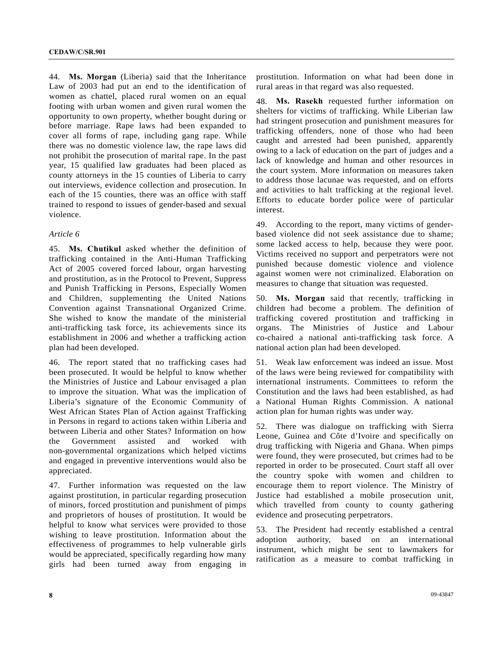44. **Ms. Morgan** (Liberia) said that the Inheritance Law of 2003 had put an end to the identification of women as chattel, placed rural women on an equal footing with urban women and given rural women the opportunity to own property, whether bought during or before marriage. Rape laws had been expanded to cover all forms of rape, including gang rape. While there was no domestic violence law, the rape laws did not prohibit the prosecution of marital rape. In the past year, 15 qualified law graduates had been placed as county attorneys in the 15 counties of Liberia to carry out interviews, evidence collection and prosecution. In each of the 15 counties, there was an office with staff trained to respond to issues of gender-based and sexual violence.

#### *Article 6*

45. **Ms. Chutikul** asked whether the definition of trafficking contained in the Anti-Human Trafficking Act of 2005 covered forced labour, organ harvesting and prostitution, as in the Protocol to Prevent, Suppress and Punish Trafficking in Persons, Especially Women and Children, supplementing the United Nations Convention against Transnational Organized Crime. She wished to know the mandate of the ministerial anti-trafficking task force, its achievements since its establishment in 2006 and whether a trafficking action plan had been developed.

46. The report stated that no trafficking cases had been prosecuted. It would be helpful to know whether the Ministries of Justice and Labour envisaged a plan to improve the situation. What was the implication of Liberia's signature of the Economic Community of West African States Plan of Action against Trafficking in Persons in regard to actions taken within Liberia and between Liberia and other States? Information on how the Government assisted and worked with non-governmental organizations which helped victims and engaged in preventive interventions would also be appreciated.

47. Further information was requested on the law against prostitution, in particular regarding prosecution of minors, forced prostitution and punishment of pimps and proprietors of houses of prostitution. It would be helpful to know what services were provided to those wishing to leave prostitution. Information about the effectiveness of programmes to help vulnerable girls would be appreciated, specifically regarding how many girls had been turned away from engaging in prostitution. Information on what had been done in rural areas in that regard was also requested.

48. **Ms. Rasekh** requested further information on shelters for victims of trafficking. While Liberian law had stringent prosecution and punishment measures for trafficking offenders, none of those who had been caught and arrested had been punished, apparently owing to a lack of education on the part of judges and a lack of knowledge and human and other resources in the court system. More information on measures taken to address those lacunae was requested, and on efforts and activities to halt trafficking at the regional level. Efforts to educate border police were of particular interest.

49. According to the report, many victims of genderbased violence did not seek assistance due to shame; some lacked access to help, because they were poor. Victims received no support and perpetrators were not punished because domestic violence and violence against women were not criminalized. Elaboration on measures to change that situation was requested.

50. **Ms. Morgan** said that recently, trafficking in children had become a problem. The definition of trafficking covered prostitution and trafficking in organs. The Ministries of Justice and Labour co-chaired a national anti-trafficking task force. A national action plan had been developed.

51. Weak law enforcement was indeed an issue. Most of the laws were being reviewed for compatibility with international instruments. Committees to reform the Constitution and the laws had been established, as had a National Human Rights Commission. A national action plan for human rights was under way.

52. There was dialogue on trafficking with Sierra Leone, Guinea and Côte d'Ivoire and specifically on drug trafficking with Nigeria and Ghana. When pimps were found, they were prosecuted, but crimes had to be reported in order to be prosecuted. Court staff all over the country spoke with women and children to encourage them to report violence. The Ministry of Justice had established a mobile prosecution unit, which travelled from county to county gathering evidence and prosecuting perpetrators.

53. The President had recently established a central adoption authority, based on an international instrument, which might be sent to lawmakers for ratification as a measure to combat trafficking in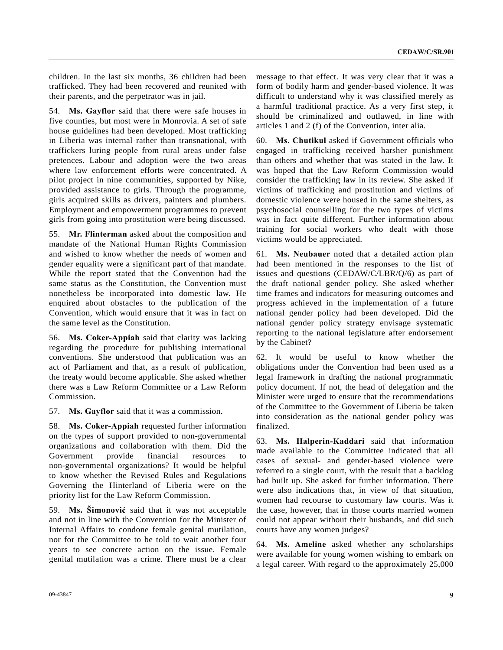children. In the last six months, 36 children had been trafficked. They had been recovered and reunited with their parents, and the perpetrator was in jail.

54. **Ms. Gayflor** said that there were safe houses in five counties, but most were in Monrovia. A set of safe house guidelines had been developed. Most trafficking in Liberia was internal rather than transnational, with traffickers luring people from rural areas under false pretences. Labour and adoption were the two areas where law enforcement efforts were concentrated. A pilot project in nine communities, supported by Nike, provided assistance to girls. Through the programme, girls acquired skills as drivers, painters and plumbers. Employment and empowerment programmes to prevent girls from going into prostitution were being discussed.

55. **Mr. Flinterman** asked about the composition and mandate of the National Human Rights Commission and wished to know whether the needs of women and gender equality were a significant part of that mandate. While the report stated that the Convention had the same status as the Constitution, the Convention must nonetheless be incorporated into domestic law. He enquired about obstacles to the publication of the Convention, which would ensure that it was in fact on the same level as the Constitution.

56. **Ms. Coker-Appiah** said that clarity was lacking regarding the procedure for publishing international conventions. She understood that publication was an act of Parliament and that, as a result of publication, the treaty would become applicable. She asked whether there was a Law Reform Committee or a Law Reform Commission.

57. **Ms. Gayflor** said that it was a commission.

58. **Ms. Coker-Appiah** requested further information on the types of support provided to non-governmental organizations and collaboration with them. Did the Government provide financial resources to non-governmental organizations? It would be helpful to know whether the Revised Rules and Regulations Governing the Hinterland of Liberia were on the priority list for the Law Reform Commission.

59. **Ms. Šimonović** said that it was not acceptable and not in line with the Convention for the Minister of Internal Affairs to condone female genital mutilation, nor for the Committee to be told to wait another four years to see concrete action on the issue. Female genital mutilation was a crime. There must be a clear

message to that effect. It was very clear that it was a form of bodily harm and gender-based violence. It was difficult to understand why it was classified merely as a harmful traditional practice. As a very first step, it should be criminalized and outlawed, in line with articles 1 and 2 (f) of the Convention, inter alia.

60. **Ms. Chutikul** asked if Government officials who engaged in trafficking received harsher punishment than others and whether that was stated in the law. It was hoped that the Law Reform Commission would consider the trafficking law in its review. She asked if victims of trafficking and prostitution and victims of domestic violence were housed in the same shelters, as psychosocial counselling for the two types of victims was in fact quite different. Further information about training for social workers who dealt with those victims would be appreciated.

61. **Ms. Neubauer** noted that a detailed action plan had been mentioned in the responses to the list of issues and questions (CEDAW/C/LBR/Q/6) as part of the draft national gender policy. She asked whether time frames and indicators for measuring outcomes and progress achieved in the implementation of a future national gender policy had been developed. Did the national gender policy strategy envisage systematic reporting to the national legislature after endorsement by the Cabinet?

62. It would be useful to know whether the obligations under the Convention had been used as a legal framework in drafting the national programmatic policy document. If not, the head of delegation and the Minister were urged to ensure that the recommendations of the Committee to the Government of Liberia be taken into consideration as the national gender policy was finalized.

63. **Ms. Halperin-Kaddari** said that information made available to the Committee indicated that all cases of sexual- and gender-based violence were referred to a single court, with the result that a backlog had built up. She asked for further information. There were also indications that, in view of that situation, women had recourse to customary law courts. Was it the case, however, that in those courts married women could not appear without their husbands, and did such courts have any women judges?

64. **Ms. Ameline** asked whether any scholarships were available for young women wishing to embark on a legal career. With regard to the approximately 25,000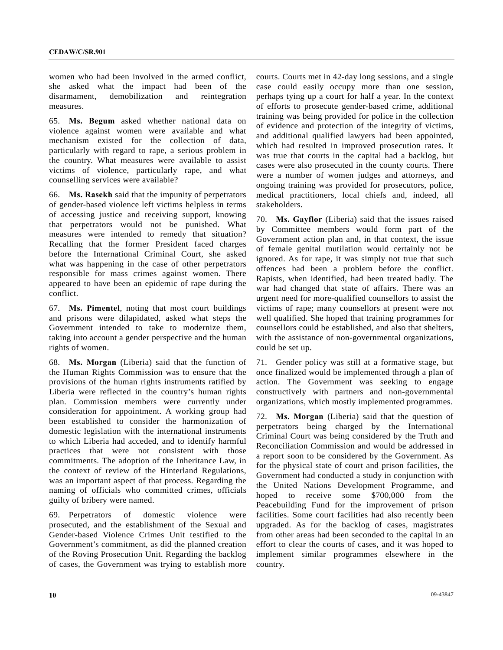women who had been involved in the armed conflict, she asked what the impact had been of the disarmament, demobilization and reintegration measures.

65. **Ms. Begum** asked whether national data on violence against women were available and what mechanism existed for the collection of data, particularly with regard to rape, a serious problem in the country. What measures were available to assist victims of violence, particularly rape, and what counselling services were available?

66. **Ms. Rasekh** said that the impunity of perpetrators of gender-based violence left victims helpless in terms of accessing justice and receiving support, knowing that perpetrators would not be punished. What measures were intended to remedy that situation? Recalling that the former President faced charges before the International Criminal Court, she asked what was happening in the case of other perpetrators responsible for mass crimes against women. There appeared to have been an epidemic of rape during the conflict.

67. **Ms. Pimentel**, noting that most court buildings and prisons were dilapidated, asked what steps the Government intended to take to modernize them, taking into account a gender perspective and the human rights of women.

68. **Ms. Morgan** (Liberia) said that the function of the Human Rights Commission was to ensure that the provisions of the human rights instruments ratified by Liberia were reflected in the country's human rights plan. Commission members were currently under consideration for appointment. A working group had been established to consider the harmonization of domestic legislation with the international instruments to which Liberia had acceded, and to identify harmful practices that were not consistent with those commitments. The adoption of the Inheritance Law, in the context of review of the Hinterland Regulations, was an important aspect of that process. Regarding the naming of officials who committed crimes, officials guilty of bribery were named.

69. Perpetrators of domestic violence were prosecuted, and the establishment of the Sexual and Gender-based Violence Crimes Unit testified to the Government's commitment, as did the planned creation of the Roving Prosecution Unit. Regarding the backlog of cases, the Government was trying to establish more courts. Courts met in 42-day long sessions, and a single case could easily occupy more than one session, perhaps tying up a court for half a year. In the context of efforts to prosecute gender-based crime, additional training was being provided for police in the collection of evidence and protection of the integrity of victims, and additional qualified lawyers had been appointed, which had resulted in improved prosecution rates. It was true that courts in the capital had a backlog, but cases were also prosecuted in the county courts. There were a number of women judges and attorneys, and ongoing training was provided for prosecutors, police, medical practitioners, local chiefs and, indeed, all stakeholders.

70. **Ms. Gayflor** (Liberia) said that the issues raised by Committee members would form part of the Government action plan and, in that context, the issue of female genital mutilation would certainly not be ignored. As for rape, it was simply not true that such offences had been a problem before the conflict. Rapists, when identified, had been treated badly. The war had changed that state of affairs. There was an urgent need for more-qualified counsellors to assist the victims of rape; many counsellors at present were not well qualified. She hoped that training programmes for counsellors could be established, and also that shelters, with the assistance of non-governmental organizations, could be set up.

71. Gender policy was still at a formative stage, but once finalized would be implemented through a plan of action. The Government was seeking to engage constructively with partners and non-governmental organizations, which mostly implemented programmes.

72. **Ms. Morgan** (Liberia) said that the question of perpetrators being charged by the International Criminal Court was being considered by the Truth and Reconciliation Commission and would be addressed in a report soon to be considered by the Government. As for the physical state of court and prison facilities, the Government had conducted a study in conjunction with the United Nations Development Programme, and hoped to receive some \$700,000 from the Peacebuilding Fund for the improvement of prison facilities. Some court facilities had also recently been upgraded. As for the backlog of cases, magistrates from other areas had been seconded to the capital in an effort to clear the courts of cases, and it was hoped to implement similar programmes elsewhere in the country.